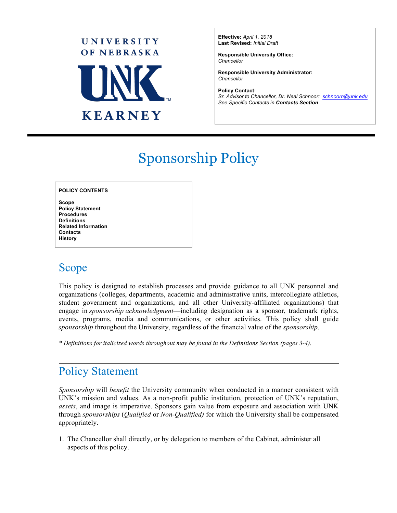

**Effective:** *April 1, 2018* **Last Revised:** *Initial Draft*

**Responsible University Office:** *Chancellor*

**Responsible University Administrator:** *Chancellor*

**Policy Contact:** *Sr. Advisor to Chancellor, Dr. Neal Schnoor: [schnoorn@unk.edu](mailto:schnoorn@unk.edu) See Specific Contacts in Contacts Section*

l

# Sponsorship Policy

#### **POLICY CONTENTS**

**Scope Policy Statement Procedures Definitions Related Information Contacts History**

#### Scope

This policy is designed to establish processes and provide guidance to all UNK personnel and organizations (colleges, departments, academic and administrative units, intercollegiate athletics, student government and organizations, and all other University-affiliated organizations) that engage in *sponsorship acknowledgment*—including designation as a sponsor, trademark rights, events, programs, media and communications, or other activities. This policy shall guide *sponsorship* throughout the University, regardless of the financial value of the *sponsorship*.

*\* Definitions for italicized words throughout may be found in the Definitions Section (pages 3-4).*

#### Policy Statement

*Sponsorship* will *benefit* the University community when conducted in a manner consistent with UNK's mission and values. As a non-profit public institution, protection of UNK's reputation, *assets*, and image is imperative. Sponsors gain value from exposure and association with UNK through *sponsorships* (*Qualified* or *Non-Qualified)* for which the University shall be compensated appropriately.

1. The Chancellor shall directly, or by delegation to members of the Cabinet, administer all aspects of this policy.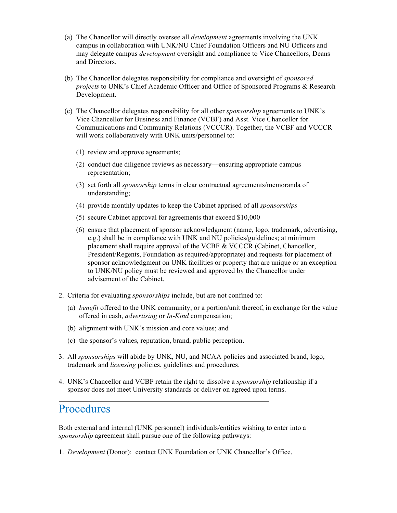- (a) The Chancellor will directly oversee all *development* agreements involving the UNK campus in collaboration with UNK/NU Chief Foundation Officers and NU Officers and may delegate campus *development* oversight and compliance to Vice Chancellors, Deans and Directors.
- (b) The Chancellor delegates responsibility for compliance and oversight of *sponsored projects* to UNK's Chief Academic Officer and Office of Sponsored Programs & Research Development.
- (c) The Chancellor delegates responsibility for all other *sponsorship* agreements to UNK's Vice Chancellor for Business and Finance (VCBF) and Asst. Vice Chancellor for Communications and Community Relations (VCCCR). Together, the VCBF and VCCCR will work collaboratively with UNK units/personnel to:
	- (1) review and approve agreements;
	- (2) conduct due diligence reviews as necessary—ensuring appropriate campus representation;
	- (3) set forth all *sponsorship* terms in clear contractual agreements/memoranda of understanding;
	- (4) provide monthly updates to keep the Cabinet apprised of all *sponsorships*
	- (5) secure Cabinet approval for agreements that exceed \$10,000
	- (6) ensure that placement of sponsor acknowledgment (name, logo, trademark, advertising, e.g.) shall be in compliance with UNK and NU policies/guidelines; at minimum placement shall require approval of the VCBF & VCCCR (Cabinet, Chancellor, President/Regents, Foundation as required/appropriate) and requests for placement of sponsor acknowledgment on UNK facilities or property that are unique or an exception to UNK/NU policy must be reviewed and approved by the Chancellor under advisement of the Cabinet.
- 2. Criteria for evaluating *sponsorships* include, but are not confined to:
	- (a) *benefit* offered to the UNK community, or a portion/unit thereof, in exchange for the value offered in cash, *advertising* or *In-Kind* compensation;
	- (b) alignment with UNK's mission and core values; and
	- (c) the sponsor's values, reputation, brand, public perception.
- 3. All *sponsorships* will abide by UNK, NU, and NCAA policies and associated brand, logo, trademark and *licensing* policies, guidelines and procedures.
- 4. UNK's Chancellor and VCBF retain the right to dissolve a *sponsorship* relationship if a sponsor does not meet University standards or deliver on agreed upon terms.

#### Procedures

Both external and internal (UNK personnel) individuals/entities wishing to enter into a *sponsorship* agreement shall pursue one of the following pathways:

1. *Development* (Donor): contact UNK Foundation or UNK Chancellor's Office.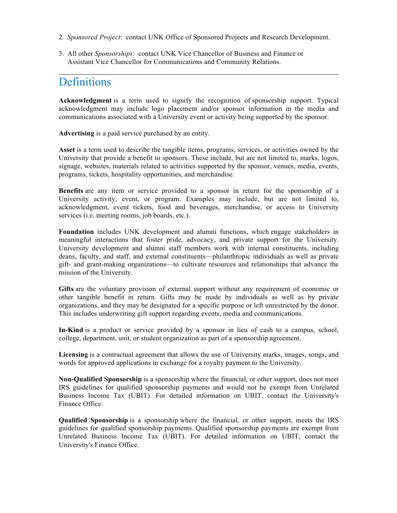- 2. *Sponsored Project*: contact UNK Office of Sponsored Projects and Research Development.
- 3. All other *Sponsorships*: contact UNK Vice Chancellor of Business and Finance or Assistant Vice Chancellor for Communications and Community Relations.

## Definitions

**Acknowledgment** is a term used to signify the recognition of sponsorship support. Typical acknowledgment may include logo placement and/or sponsor information in the media and communications associated with a University event or activity being supported by the sponsor.

**Advertising** is a paid service purchased by an entity.

**Asset** is a term used to describe the tangible items, programs, services, or activities owned by the University that provide a benefit to sponsors. These include, but are not limited to, marks, logos, signage, websites, materials related to activities supported by the sponsor, venues, media, events, programs, tickets, hospitality opportunities, and merchandise.

**Benefits** are any item or service provided to a sponsor in return for the sponsorship of a University activity, event, or program. Examples may include, but are not limited to, acknowledgment, event tickets, food and beverages, merchandise, or access to University services (i.e. meeting rooms, job boards, etc.).

**Foundation** includes UNK development and alumni functions, which engage stakeholders in meaningful interactions that foster pride, advocacy, and private support for the University. University development and alumni staff members work with internal constituents, including deans, faculty, and staff, and external constituents—philanthropic individuals as well as private gift- and grant-making organizations—to cultivate resources and relationships that advance the mission of the University.

**Gifts** are the voluntary provision of external support without any requirement of economic or other tangible benefit in return. Gifts may be made by individuals as well as by private organizations, and they may be designated for a specific purpose or left unrestricted by the donor. This includes underwriting gift support regarding events, media and communications.

**In-Kind** is a product or service provided by a sponsor in lieu of cash to a campus, school, college, department, unit, or student organization as part of a sponsorship agreement.

**Licensing** is a contractual agreement that allows the use of University marks, images, songs, and words for approved applications in exchange for a royalty payment to the University.

**Non-Qualified Sponsorship** is a sponsorship where the financial, or other support, does not meet IRS guidelines for qualified sponsorship payments and would not be exempt from Unrelated Business Income Tax (UBIT). For detailed information on UBIT, contact the University's Finance Office.

**Qualified Sponsorship** is a sponsorship where the financial, or other support, meets the IRS guidelines for qualified sponsorship payments. Qualified sponsorship payments are exempt from Unrelated Business Income Tax (UBIT). For detailed information on UBIT, contact the University's Finance Office.